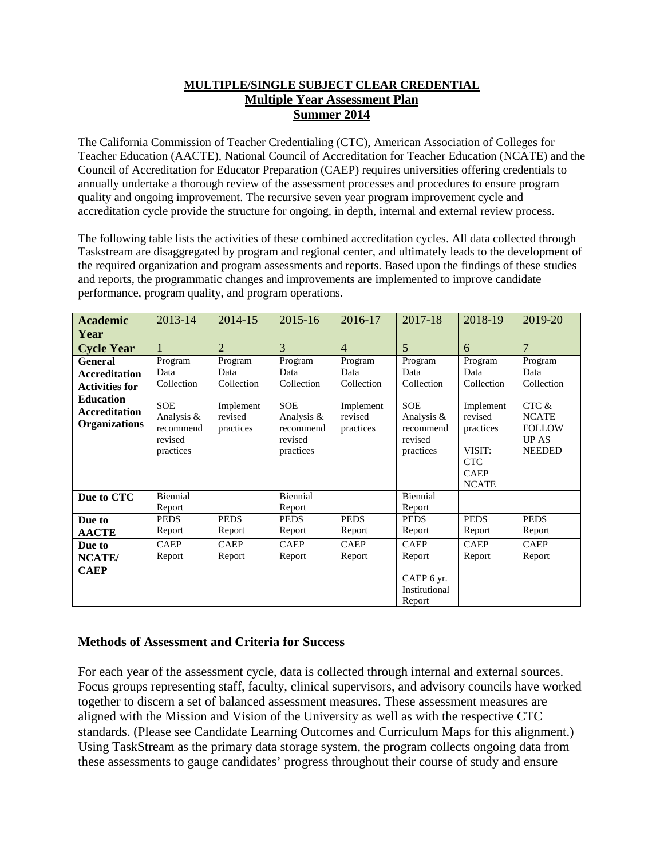### **MULTIPLE/SINGLE SUBJECT CLEAR CREDENTIAL Multiple Year Assessment Plan Summer 2014**

The California Commission of Teacher Credentialing (CTC), American Association of Colleges for Teacher Education (AACTE), National Council of Accreditation for Teacher Education (NCATE) and the Council of Accreditation for Educator Preparation (CAEP) requires universities offering credentials to annually undertake a thorough review of the assessment processes and procedures to ensure program quality and ongoing improvement. The recursive seven year program improvement cycle and accreditation cycle provide the structure for ongoing, in depth, internal and external review process.

The following table lists the activities of these combined accreditation cycles. All data collected through Taskstream are disaggregated by program and regional center, and ultimately leads to the development of the required organization and program assessments and reports. Based upon the findings of these studies and reports, the programmatic changes and improvements are implemented to improve candidate performance, program quality, and program operations.

| <b>Academic</b><br>Year                                                                                                             | 2013-14                                                                                        | 2014-15                                                            | 2015-16                                                                                        | 2016-17                                                            | 2017-18                                                                                        | 2018-19                                                                                                                   | 2019-20                                                                                                  |
|-------------------------------------------------------------------------------------------------------------------------------------|------------------------------------------------------------------------------------------------|--------------------------------------------------------------------|------------------------------------------------------------------------------------------------|--------------------------------------------------------------------|------------------------------------------------------------------------------------------------|---------------------------------------------------------------------------------------------------------------------------|----------------------------------------------------------------------------------------------------------|
| <b>Cycle Year</b>                                                                                                                   |                                                                                                | $\overline{2}$                                                     | 3                                                                                              | $\overline{4}$                                                     | $\overline{5}$                                                                                 | 6                                                                                                                         | $\overline{7}$                                                                                           |
| <b>General</b><br><b>Accreditation</b><br><b>Activities for</b><br><b>Education</b><br><b>Accreditation</b><br><b>Organizations</b> | Program<br>Data<br>Collection<br><b>SOE</b><br>Analysis &<br>recommend<br>revised<br>practices | Program<br>Data<br>Collection<br>Implement<br>revised<br>practices | Program<br>Data<br>Collection<br><b>SOE</b><br>Analysis &<br>recommend<br>revised<br>practices | Program<br>Data<br>Collection<br>Implement<br>revised<br>practices | Program<br>Data<br>Collection<br><b>SOE</b><br>Analysis &<br>recommend<br>revised<br>practices | Program<br>Data<br>Collection<br>Implement<br>revised<br>practices<br>VISIT:<br><b>CTC</b><br><b>CAEP</b><br><b>NCATE</b> | Program<br>Data<br>Collection<br>CTC &<br><b>NCATE</b><br><b>FOLLOW</b><br><b>UP AS</b><br><b>NEEDED</b> |
| Due to CTC                                                                                                                          | Biennial<br>Report                                                                             |                                                                    | Biennial<br>Report                                                                             |                                                                    | Biennial<br>Report                                                                             |                                                                                                                           |                                                                                                          |
| Due to<br><b>AACTE</b>                                                                                                              | <b>PEDS</b><br>Report                                                                          | <b>PEDS</b><br>Report                                              | <b>PEDS</b><br>Report                                                                          | <b>PEDS</b><br>Report                                              | <b>PEDS</b><br>Report                                                                          | <b>PEDS</b><br>Report                                                                                                     | <b>PEDS</b><br>Report                                                                                    |
| Due to<br>NCATE/<br><b>CAEP</b>                                                                                                     | <b>CAEP</b><br>Report                                                                          | <b>CAEP</b><br>Report                                              | <b>CAEP</b><br>Report                                                                          | <b>CAEP</b><br>Report                                              | <b>CAEP</b><br>Report<br>CAEP 6 yr.<br>Institutional<br>Report                                 | <b>CAEP</b><br>Report                                                                                                     | <b>CAEP</b><br>Report                                                                                    |

### **Methods of Assessment and Criteria for Success**

For each year of the assessment cycle, data is collected through internal and external sources. Focus groups representing staff, faculty, clinical supervisors, and advisory councils have worked together to discern a set of balanced assessment measures. These assessment measures are aligned with the Mission and Vision of the University as well as with the respective CTC standards. (Please see Candidate Learning Outcomes and Curriculum Maps for this alignment.) Using TaskStream as the primary data storage system, the program collects ongoing data from these assessments to gauge candidates' progress throughout their course of study and ensure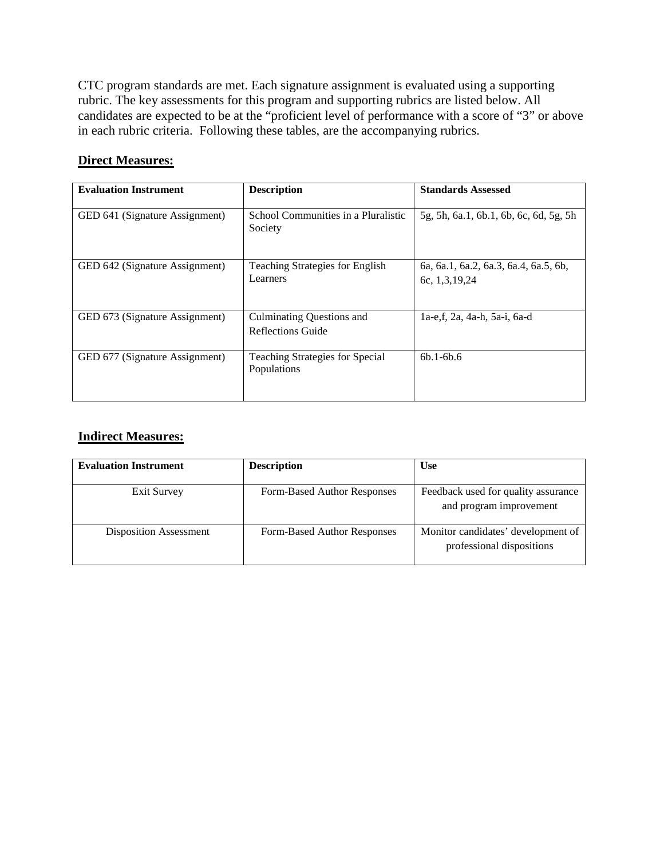CTC program standards are met. Each signature assignment is evaluated using a supporting rubric. The key assessments for this program and supporting rubrics are listed below. All candidates are expected to be at the "proficient level of performance with a score of "3" or above in each rubric criteria. Following these tables, are the accompanying rubrics.

## **Direct Measures:**

| <b>Evaluation Instrument</b>   | <b>Description</b>                                    | <b>Standards Assessed</b>                              |
|--------------------------------|-------------------------------------------------------|--------------------------------------------------------|
| GED 641 (Signature Assignment) | School Communities in a Pluralistic<br>Society        | 5g, 5h, 6a.1, 6b.1, 6b, 6c, 6d, 5g, 5h                 |
| GED 642 (Signature Assignment) | <b>Teaching Strategies for English</b><br>Learners    | 6a, 6a.1, 6a.2, 6a.3, 6a.4, 6a.5, 6b,<br>6c, 1,3,19,24 |
| GED 673 (Signature Assignment) | <b>Culminating Questions and</b><br>Reflections Guide | 1a-e,f, 2a, 4a-h, 5a-i, 6a-d                           |
| GED 677 (Signature Assignment) | <b>Teaching Strategies for Special</b><br>Populations | $6b.1 - 6b.6$                                          |

## **Indirect Measures:**

| <b>Evaluation Instrument</b>  | <b>Description</b>          | <b>Use</b>                                                      |
|-------------------------------|-----------------------------|-----------------------------------------------------------------|
| Exit Survey                   | Form-Based Author Responses | Feedback used for quality assurance<br>and program improvement  |
| <b>Disposition Assessment</b> | Form-Based Author Responses | Monitor candidates' development of<br>professional dispositions |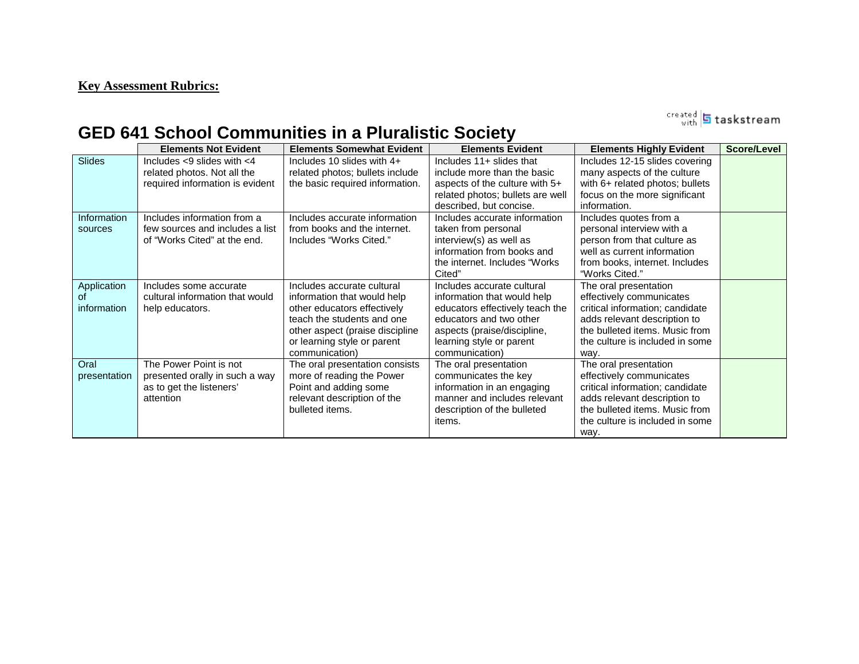## **Key Assessment Rubrics:**

created **5** taskstream

# **GED 641 School Communities in a Pluralistic Society**

|                                  | <b>Elements Not Evident</b>                                                                        | <b>Elements Somewhat Evident</b>                                                                                                                                                                           | <b>Elements Evident</b>                                                                                                                                                                              | <b>Elements Highly Evident</b>                                                                                                                                                                    | Score/Level |
|----------------------------------|----------------------------------------------------------------------------------------------------|------------------------------------------------------------------------------------------------------------------------------------------------------------------------------------------------------------|------------------------------------------------------------------------------------------------------------------------------------------------------------------------------------------------------|---------------------------------------------------------------------------------------------------------------------------------------------------------------------------------------------------|-------------|
| Slides                           | Includes $<$ 9 slides with $<$ 4<br>related photos. Not all the<br>required information is evident | Includes 10 slides with 4+<br>related photos; bullets include<br>the basic required information.                                                                                                           | Includes 11+ slides that<br>include more than the basic<br>aspects of the culture with 5+<br>related photos; bullets are well<br>described, but concise.                                             | Includes 12-15 slides covering<br>many aspects of the culture<br>with 6+ related photos; bullets<br>focus on the more significant<br>information.                                                 |             |
| Information<br>sources           | Includes information from a<br>few sources and includes a list<br>of "Works Cited" at the end.     | Includes accurate information<br>from books and the internet.<br>Includes "Works Cited."                                                                                                                   | Includes accurate information<br>taken from personal<br>interview(s) as well as<br>information from books and<br>the internet. Includes "Works"<br>Cited"                                            | Includes quotes from a<br>personal interview with a<br>person from that culture as<br>well as current information<br>from books, internet. Includes<br>"Works Cited."                             |             |
| Application<br>Ωt<br>information | Includes some accurate<br>cultural information that would<br>help educators.                       | Includes accurate cultural<br>information that would help<br>other educators effectively<br>teach the students and one<br>other aspect (praise discipline<br>or learning style or parent<br>communication) | Includes accurate cultural<br>information that would help<br>educators effectively teach the<br>educators and two other<br>aspects (praise/discipline,<br>learning style or parent<br>communication) | The oral presentation<br>effectively communicates<br>critical information; candidate<br>adds relevant description to<br>the bulleted items. Music from<br>the culture is included in some<br>way. |             |
| Oral<br>presentation             | The Power Point is not<br>presented orally in such a way<br>as to get the listeners'<br>attention  | The oral presentation consists<br>more of reading the Power<br>Point and adding some<br>relevant description of the<br>bulleted items.                                                                     | The oral presentation<br>communicates the key<br>information in an engaging<br>manner and includes relevant<br>description of the bulleted<br><i>items.</i>                                          | The oral presentation<br>effectively communicates<br>critical information; candidate<br>adds relevant description to<br>the bulleted items. Music from<br>the culture is included in some<br>way. |             |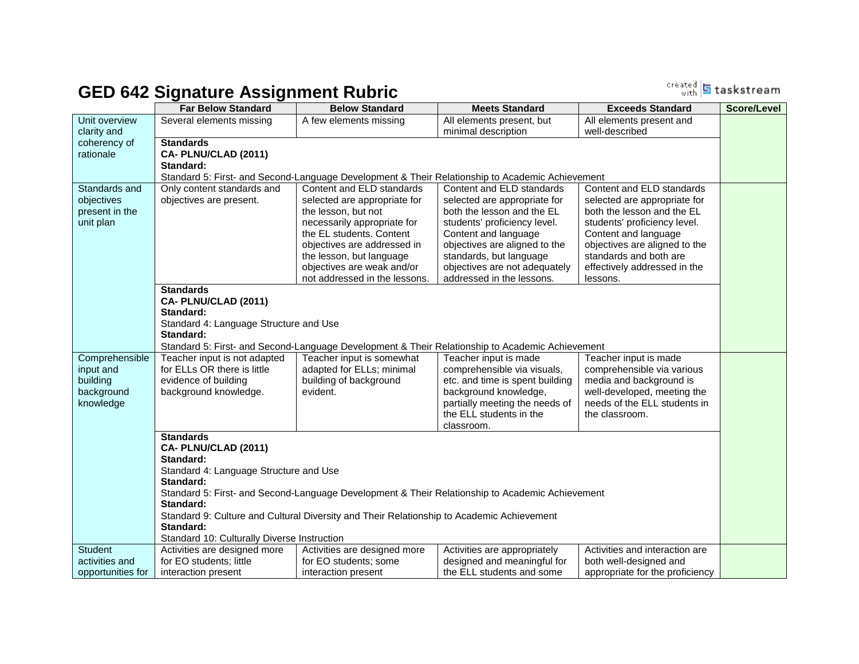# **GED 642 Signature Assignment Rubric**

<sup>created</sup> 5 taskstream

|                   | <b>Far Below Standard</b>                   | <b>Below Standard</b>                                                                     | <b>Meets Standard</b>                                                                           | <b>Exceeds Standard</b>         | <b>Score/Level</b> |
|-------------------|---------------------------------------------|-------------------------------------------------------------------------------------------|-------------------------------------------------------------------------------------------------|---------------------------------|--------------------|
| Unit overview     | Several elements missing                    | A few elements missing                                                                    | All elements present, but                                                                       | All elements present and        |                    |
| clarity and       |                                             |                                                                                           | minimal description                                                                             | well-described                  |                    |
| coherency of      | <b>Standards</b>                            |                                                                                           |                                                                                                 |                                 |                    |
| rationale         | CA-PLNU/CLAD (2011)                         |                                                                                           |                                                                                                 |                                 |                    |
|                   | Standard:                                   |                                                                                           |                                                                                                 |                                 |                    |
|                   |                                             |                                                                                           | Standard 5: First- and Second-Language Development & Their Relationship to Academic Achievement |                                 |                    |
| Standards and     | Only content standards and                  | Content and ELD standards                                                                 | Content and ELD standards                                                                       | Content and ELD standards       |                    |
| objectives        | objectives are present.                     | selected are appropriate for                                                              | selected are appropriate for                                                                    | selected are appropriate for    |                    |
| present in the    |                                             | the lesson, but not                                                                       | both the lesson and the EL                                                                      | both the lesson and the EL      |                    |
| unit plan         |                                             | necessarily appropriate for                                                               | students' proficiency level.                                                                    | students' proficiency level.    |                    |
|                   |                                             | the EL students. Content                                                                  | Content and language                                                                            | Content and language            |                    |
|                   |                                             | objectives are addressed in                                                               | objectives are aligned to the                                                                   | objectives are aligned to the   |                    |
|                   |                                             | the lesson, but language                                                                  | standards, but language                                                                         | standards and both are          |                    |
|                   |                                             | objectives are weak and/or                                                                | objectives are not adequately                                                                   | effectively addressed in the    |                    |
|                   |                                             | not addressed in the lessons.                                                             | addressed in the lessons.                                                                       | lessons.                        |                    |
|                   | <b>Standards</b>                            |                                                                                           |                                                                                                 |                                 |                    |
|                   | CA-PLNU/CLAD (2011)                         |                                                                                           |                                                                                                 |                                 |                    |
|                   | Standard:                                   |                                                                                           |                                                                                                 |                                 |                    |
|                   | Standard 4: Language Structure and Use      |                                                                                           |                                                                                                 |                                 |                    |
|                   | Standard:                                   |                                                                                           |                                                                                                 |                                 |                    |
|                   |                                             |                                                                                           | Standard 5: First- and Second-Language Development & Their Relationship to Academic Achievement |                                 |                    |
| Comprehensible    | Teacher input is not adapted                | Teacher input is somewhat                                                                 | Teacher input is made                                                                           | Teacher input is made           |                    |
| input and         | for ELLs OR there is little                 | adapted for ELLs; minimal                                                                 | comprehensible via visuals,                                                                     | comprehensible via various      |                    |
| building          | evidence of building                        | building of background                                                                    | etc. and time is spent building                                                                 | media and background is         |                    |
| background        | background knowledge.                       | evident.                                                                                  | background knowledge,                                                                           | well-developed, meeting the     |                    |
| knowledge         |                                             |                                                                                           | partially meeting the needs of                                                                  | needs of the ELL students in    |                    |
|                   |                                             |                                                                                           | the ELL students in the                                                                         | the classroom.                  |                    |
|                   |                                             |                                                                                           | classroom.                                                                                      |                                 |                    |
|                   | <b>Standards</b>                            |                                                                                           |                                                                                                 |                                 |                    |
|                   | CA-PLNU/CLAD (2011)<br>Standard:            |                                                                                           |                                                                                                 |                                 |                    |
|                   |                                             |                                                                                           |                                                                                                 |                                 |                    |
|                   | Standard 4: Language Structure and Use      |                                                                                           |                                                                                                 |                                 |                    |
|                   | Standard:                                   |                                                                                           |                                                                                                 |                                 |                    |
|                   | Standard:                                   |                                                                                           | Standard 5: First- and Second-Language Development & Their Relationship to Academic Achievement |                                 |                    |
|                   |                                             | Standard 9: Culture and Cultural Diversity and Their Relationship to Academic Achievement |                                                                                                 |                                 |                    |
|                   | Standard:                                   |                                                                                           |                                                                                                 |                                 |                    |
|                   | Standard 10: Culturally Diverse Instruction |                                                                                           |                                                                                                 |                                 |                    |
| <b>Student</b>    | Activities are designed more                | Activities are designed more                                                              | Activities are appropriately                                                                    | Activities and interaction are  |                    |
| activities and    | for EO students; little                     | for EO students; some                                                                     | designed and meaningful for                                                                     | both well-designed and          |                    |
| opportunities for | interaction present                         | interaction present                                                                       | the ELL students and some                                                                       | appropriate for the proficiency |                    |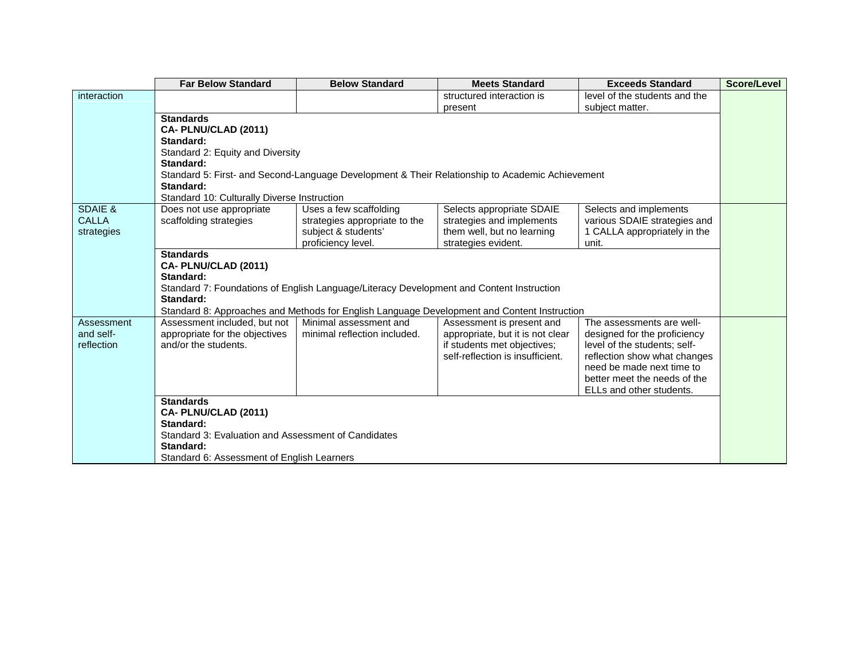|              | <b>Far Below Standard</b>                           | <b>Below Standard</b>                                                                    | <b>Meets Standard</b>                                                                           | <b>Exceeds Standard</b>                                   | Score/Level |
|--------------|-----------------------------------------------------|------------------------------------------------------------------------------------------|-------------------------------------------------------------------------------------------------|-----------------------------------------------------------|-------------|
| interaction  |                                                     |                                                                                          | structured interaction is                                                                       | level of the students and the                             |             |
|              |                                                     |                                                                                          | present                                                                                         | subject matter.                                           |             |
|              | <b>Standards</b>                                    |                                                                                          |                                                                                                 |                                                           |             |
|              | CA-PLNU/CLAD (2011)                                 |                                                                                          |                                                                                                 |                                                           |             |
|              | Standard:                                           |                                                                                          |                                                                                                 |                                                           |             |
|              | Standard 2: Equity and Diversity                    |                                                                                          |                                                                                                 |                                                           |             |
|              | Standard:                                           |                                                                                          |                                                                                                 |                                                           |             |
|              | Standard:                                           |                                                                                          | Standard 5: First- and Second-Language Development & Their Relationship to Academic Achievement |                                                           |             |
|              | Standard 10: Culturally Diverse Instruction         |                                                                                          |                                                                                                 |                                                           |             |
| SDAIE &      | Does not use appropriate                            | Uses a few scaffolding                                                                   | Selects appropriate SDAIE                                                                       | Selects and implements                                    |             |
| <b>CALLA</b> | scaffolding strategies                              | strategies appropriate to the                                                            | strategies and implements                                                                       | various SDAIE strategies and                              |             |
| strategies   |                                                     | subject & students'                                                                      | them well, but no learning                                                                      | 1 CALLA appropriately in the                              |             |
|              |                                                     | proficiency level.                                                                       | strategies evident.                                                                             | unit.                                                     |             |
|              | <b>Standards</b>                                    |                                                                                          |                                                                                                 |                                                           |             |
|              | CA- PLNU/CLAD (2011)                                |                                                                                          |                                                                                                 |                                                           |             |
|              | Standard:                                           |                                                                                          |                                                                                                 |                                                           |             |
|              |                                                     | Standard 7: Foundations of English Language/Literacy Development and Content Instruction |                                                                                                 |                                                           |             |
|              | Standard:                                           |                                                                                          |                                                                                                 |                                                           |             |
|              |                                                     |                                                                                          | Standard 8: Approaches and Methods for English Language Development and Content Instruction     |                                                           |             |
| Assessment   | Assessment included, but not                        | Minimal assessment and                                                                   | Assessment is present and                                                                       | The assessments are well-                                 |             |
| and self-    | appropriate for the objectives                      | minimal reflection included.                                                             | appropriate, but it is not clear                                                                | designed for the proficiency                              |             |
| reflection   | and/or the students.                                |                                                                                          | if students met objectives;                                                                     | level of the students; self-                              |             |
|              |                                                     |                                                                                          | self-reflection is insufficient.                                                                | reflection show what changes<br>need be made next time to |             |
|              |                                                     |                                                                                          |                                                                                                 | better meet the needs of the                              |             |
|              |                                                     |                                                                                          |                                                                                                 | ELLs and other students.                                  |             |
|              | <b>Standards</b>                                    |                                                                                          |                                                                                                 |                                                           |             |
|              | CA-PLNU/CLAD (2011)                                 |                                                                                          |                                                                                                 |                                                           |             |
|              | Standard:                                           |                                                                                          |                                                                                                 |                                                           |             |
|              | Standard 3: Evaluation and Assessment of Candidates |                                                                                          |                                                                                                 |                                                           |             |
|              | Standard:                                           |                                                                                          |                                                                                                 |                                                           |             |
|              | Standard 6: Assessment of English Learners          |                                                                                          |                                                                                                 |                                                           |             |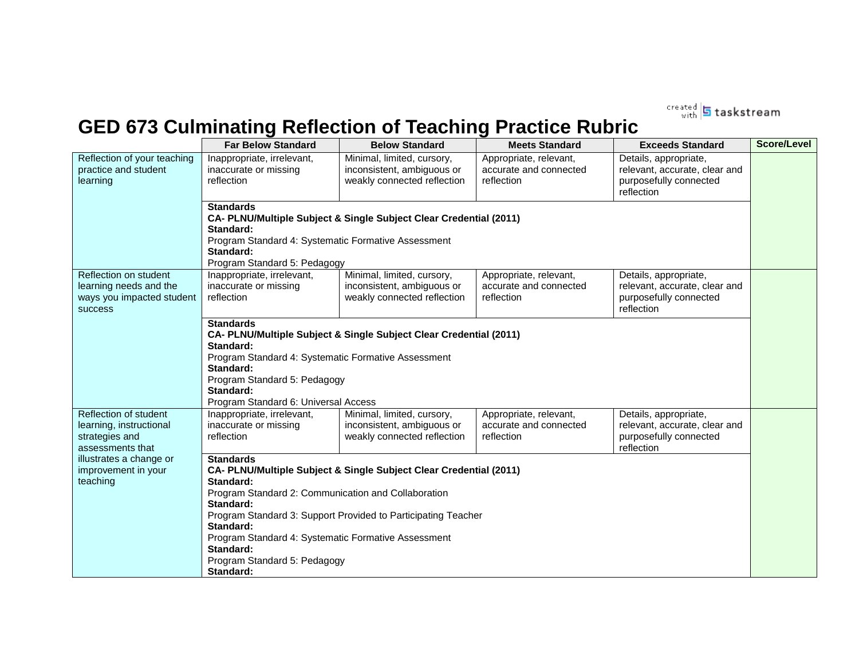created **5** taskstream

# **GED 673 Culminating Reflection of Teaching Practice Rubric**

|                                                                                         | <b>Far Below Standard</b>                                                                                                                                                                                                                                                                                                                                              | <b>Below Standard</b>                                                                   | <b>Meets Standard</b>                                          | <b>Exceeds Standard</b>                                                                        | <b>Score/Level</b> |  |  |
|-----------------------------------------------------------------------------------------|------------------------------------------------------------------------------------------------------------------------------------------------------------------------------------------------------------------------------------------------------------------------------------------------------------------------------------------------------------------------|-----------------------------------------------------------------------------------------|----------------------------------------------------------------|------------------------------------------------------------------------------------------------|--------------------|--|--|
| Reflection of your teaching<br>practice and student<br>learning                         | Inappropriate, irrelevant,<br>inaccurate or missing<br>reflection                                                                                                                                                                                                                                                                                                      | Minimal, limited, cursory,<br>inconsistent, ambiguous or<br>weakly connected reflection | Appropriate, relevant,<br>accurate and connected<br>reflection | Details, appropriate,<br>relevant, accurate, clear and<br>purposefully connected<br>reflection |                    |  |  |
|                                                                                         | <b>Standards</b><br>CA- PLNU/Multiple Subject & Single Subject Clear Credential (2011)<br>Standard:<br>Program Standard 4: Systematic Formative Assessment<br>Standard:<br>Program Standard 5: Pedagogy                                                                                                                                                                |                                                                                         |                                                                |                                                                                                |                    |  |  |
| Reflection on student<br>learning needs and the<br>ways you impacted student<br>success | Inappropriate, irrelevant,<br>inaccurate or missing<br>reflection                                                                                                                                                                                                                                                                                                      | Minimal, limited, cursory,<br>inconsistent, ambiguous or<br>weakly connected reflection | Appropriate, relevant,<br>accurate and connected<br>reflection | Details, appropriate,<br>relevant, accurate, clear and<br>purposefully connected<br>reflection |                    |  |  |
|                                                                                         | <b>Standards</b><br>CA- PLNU/Multiple Subject & Single Subject Clear Credential (2011)<br>Standard:<br>Program Standard 4: Systematic Formative Assessment<br>Standard:<br>Program Standard 5: Pedagogy<br>Standard:<br>Program Standard 6: Universal Access                                                                                                           |                                                                                         |                                                                |                                                                                                |                    |  |  |
| Reflection of student<br>learning, instructional<br>strategies and<br>assessments that  | Inappropriate, irrelevant,<br>inaccurate or missing<br>reflection                                                                                                                                                                                                                                                                                                      | Minimal, limited, cursory,<br>inconsistent, ambiguous or<br>weakly connected reflection | Appropriate, relevant,<br>accurate and connected<br>reflection | Details, appropriate,<br>relevant, accurate, clear and<br>purposefully connected<br>reflection |                    |  |  |
| illustrates a change or<br>improvement in your<br>teaching                              | <b>Standards</b><br>CA- PLNU/Multiple Subject & Single Subject Clear Credential (2011)<br>Standard:<br>Program Standard 2: Communication and Collaboration<br>Standard:<br>Program Standard 3: Support Provided to Participating Teacher<br>Standard:<br>Program Standard 4: Systematic Formative Assessment<br>Standard:<br>Program Standard 5: Pedagogy<br>Standard: |                                                                                         |                                                                |                                                                                                |                    |  |  |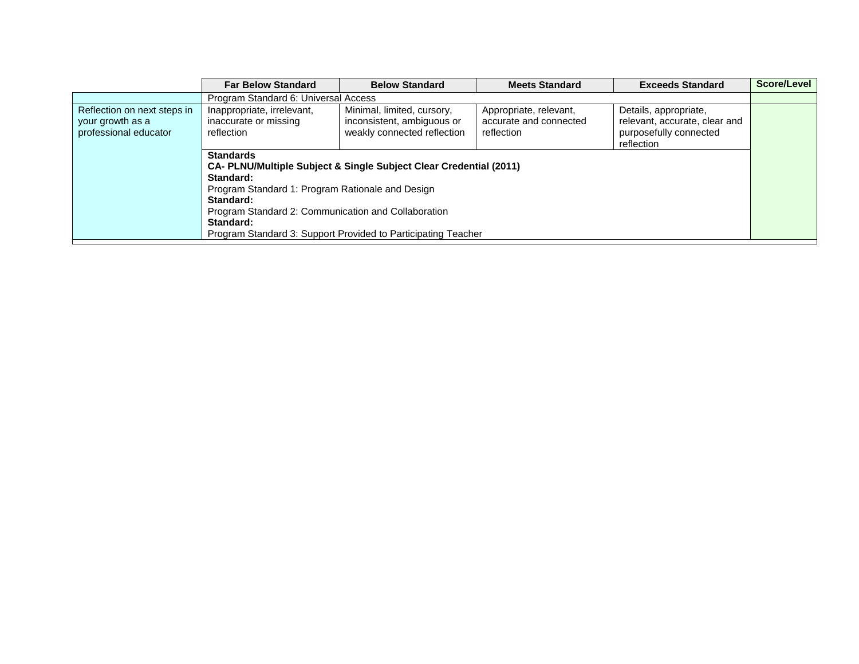|                                                                          | <b>Far Below Standard</b>                                                                                                                                                                                                                                                                                                        | <b>Below Standard</b>                                                                                                               | <b>Meets Standard</b> | <b>Exceeds Standard</b> | Score/Level |  |
|--------------------------------------------------------------------------|----------------------------------------------------------------------------------------------------------------------------------------------------------------------------------------------------------------------------------------------------------------------------------------------------------------------------------|-------------------------------------------------------------------------------------------------------------------------------------|-----------------------|-------------------------|-------------|--|
|                                                                          | Program Standard 6: Universal Access                                                                                                                                                                                                                                                                                             |                                                                                                                                     |                       |                         |             |  |
| Reflection on next steps in<br>your growth as a<br>professional educator | Inappropriate, irrelevant,<br>Appropriate, relevant,<br>Minimal, limited, cursory,<br>Details, appropriate,<br>inconsistent, ambiguous or<br>inaccurate or missing<br>relevant, accurate, clear and<br>accurate and connected<br>weakly connected reflection<br>purposefully connected<br>reflection<br>reflection<br>reflection |                                                                                                                                     |                       |                         |             |  |
|                                                                          | <b>Standards</b><br>Standard:<br>Program Standard 1: Program Rationale and Design<br>Standard:<br>Program Standard 2: Communication and Collaboration<br>Standard:                                                                                                                                                               | CA- PLNU/Multiple Subject & Single Subject Clear Credential (2011)<br>Program Standard 3: Support Provided to Participating Teacher |                       |                         |             |  |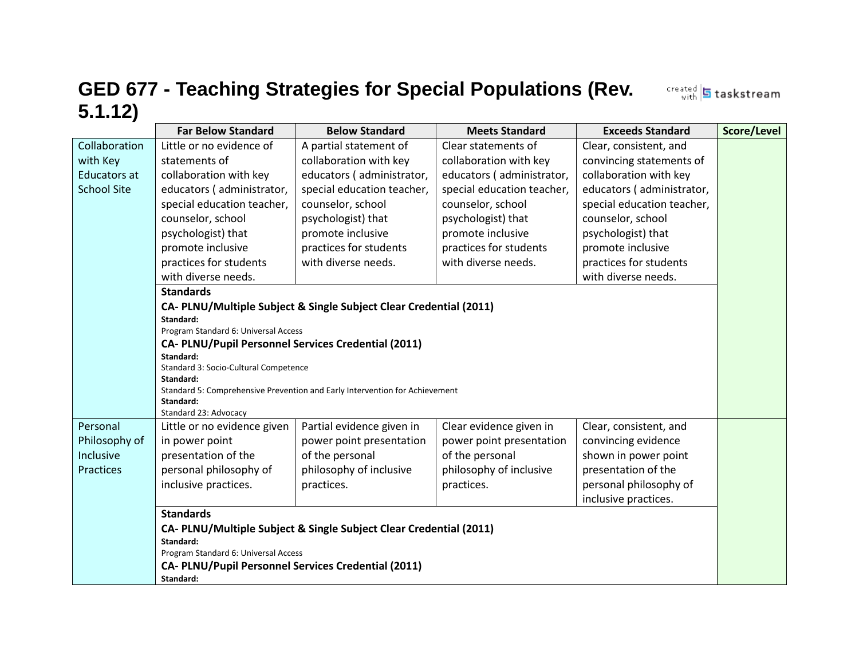# **GED 677 - Teaching Strategies for Special Populations (Rev. 5.1.12)**

**Far Below Standard | Below Standard | Meets Standard | Exceeds Standard | Score/Level** Collaboration with Key Educators at School Site Little or no evidence of statements of collaboration with key educators ( administrator, special education teacher, counselor, school psychologist) that promote inclusive practices for students with diverse needs. A partial statement of collaboration with key educators ( administrator, special education teacher, counselor, school psychologist) that promote inclusive practices for students with diverse needs. Clear statements of collaboration with key educators ( administrator, special education teacher, counselor, school psychologist) that promote inclusive practices for students with diverse needs. Clear, consistent, and convincing statements of collaboration with key educators ( administrator, special education teacher, counselor, school psychologist) that promote inclusive practices for students with diverse needs. **Standards CA- PLNU/Multiple Subject & Single Subject Clear Credential (2011) Standard:** Program Standard 6: Universal Access **CA- PLNU/Pupil Personnel Services Credential (2011) Standard:** Standard 3: Socio-Cultural Competence **Standard:** Standard 5: Comprehensive Prevention and Early Intervention for Achievement **Standard:** Standard 23: Advocacy Personal Philosophy of Inclusive Practices Little or no evidence given in power point presentation of the personal philosophy of inclusive practices. Partial evidence given in power point presentation of the personal philosophy of inclusive practices. Clear evidence given in power point presentation of the personal philosophy of inclusive practices. Clear, consistent, and convincing evidence shown in power point presentation of the personal philosophy of inclusive practices. **Standards CA- PLNU/Multiple Subject & Single Subject Clear Credential (2011) Standard:** Program Standard 6: Universal Access **CA- PLNU/Pupil Personnel Services Credential (2011) Standard:**

created 5 taskstream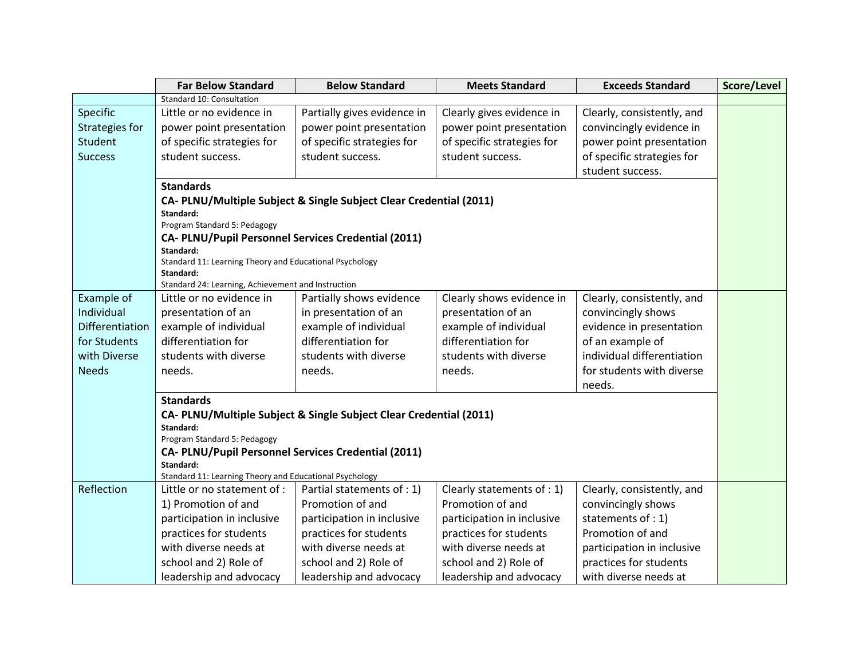|                       | <b>Far Below Standard</b>                                          | <b>Below Standard</b>                                              | <b>Meets Standard</b>      | <b>Exceeds Standard</b>    | Score/Level |  |  |  |
|-----------------------|--------------------------------------------------------------------|--------------------------------------------------------------------|----------------------------|----------------------------|-------------|--|--|--|
|                       | Standard 10: Consultation                                          |                                                                    |                            |                            |             |  |  |  |
| Specific              | Little or no evidence in                                           | Partially gives evidence in                                        | Clearly gives evidence in  | Clearly, consistently, and |             |  |  |  |
| <b>Strategies for</b> | power point presentation                                           | power point presentation                                           | power point presentation   | convincingly evidence in   |             |  |  |  |
| <b>Student</b>        | of specific strategies for                                         | of specific strategies for                                         | of specific strategies for | power point presentation   |             |  |  |  |
| <b>Success</b>        | student success.                                                   | student success.                                                   | student success.           | of specific strategies for |             |  |  |  |
|                       |                                                                    |                                                                    |                            | student success.           |             |  |  |  |
|                       | <b>Standards</b>                                                   |                                                                    |                            |                            |             |  |  |  |
|                       | CA- PLNU/Multiple Subject & Single Subject Clear Credential (2011) |                                                                    |                            |                            |             |  |  |  |
|                       | Standard:                                                          |                                                                    |                            |                            |             |  |  |  |
|                       | Program Standard 5: Pedagogy                                       |                                                                    |                            |                            |             |  |  |  |
|                       | CA- PLNU/Pupil Personnel Services Credential (2011)<br>Standard:   |                                                                    |                            |                            |             |  |  |  |
|                       | Standard 11: Learning Theory and Educational Psychology            |                                                                    |                            |                            |             |  |  |  |
|                       | Standard:                                                          |                                                                    |                            |                            |             |  |  |  |
|                       | Standard 24: Learning, Achievement and Instruction                 |                                                                    |                            |                            |             |  |  |  |
| Example of            | Little or no evidence in                                           | Partially shows evidence                                           | Clearly shows evidence in  | Clearly, consistently, and |             |  |  |  |
| Individual            | presentation of an                                                 | in presentation of an                                              | presentation of an         | convincingly shows         |             |  |  |  |
| Differentiation       | example of individual                                              | example of individual                                              | example of individual      | evidence in presentation   |             |  |  |  |
| for Students          | differentiation for                                                | differentiation for                                                | differentiation for        | of an example of           |             |  |  |  |
| with Diverse          | students with diverse                                              | students with diverse                                              | students with diverse      | individual differentiation |             |  |  |  |
| <b>Needs</b>          | needs.                                                             | needs.                                                             | needs.                     | for students with diverse  |             |  |  |  |
|                       |                                                                    |                                                                    |                            | needs.                     |             |  |  |  |
|                       | <b>Standards</b>                                                   |                                                                    |                            |                            |             |  |  |  |
|                       |                                                                    | CA- PLNU/Multiple Subject & Single Subject Clear Credential (2011) |                            |                            |             |  |  |  |
|                       | Standard:<br>Program Standard 5: Pedagogy                          |                                                                    |                            |                            |             |  |  |  |
|                       | CA- PLNU/Pupil Personnel Services Credential (2011)                |                                                                    |                            |                            |             |  |  |  |
|                       | Standard:                                                          |                                                                    |                            |                            |             |  |  |  |
|                       | Standard 11: Learning Theory and Educational Psychology            |                                                                    |                            |                            |             |  |  |  |
| Reflection            | Little or no statement of :                                        | Partial statements of : 1)                                         | Clearly statements of : 1) | Clearly, consistently, and |             |  |  |  |
|                       | 1) Promotion of and                                                | Promotion of and                                                   | Promotion of and           | convincingly shows         |             |  |  |  |
|                       | participation in inclusive                                         | participation in inclusive                                         | participation in inclusive | statements of : 1)         |             |  |  |  |
|                       | practices for students                                             | practices for students                                             | practices for students     | Promotion of and           |             |  |  |  |
|                       | with diverse needs at                                              | with diverse needs at                                              | with diverse needs at      | participation in inclusive |             |  |  |  |
|                       | school and 2) Role of                                              | school and 2) Role of                                              | school and 2) Role of      | practices for students     |             |  |  |  |
|                       | leadership and advocacy                                            | leadership and advocacy                                            | leadership and advocacy    | with diverse needs at      |             |  |  |  |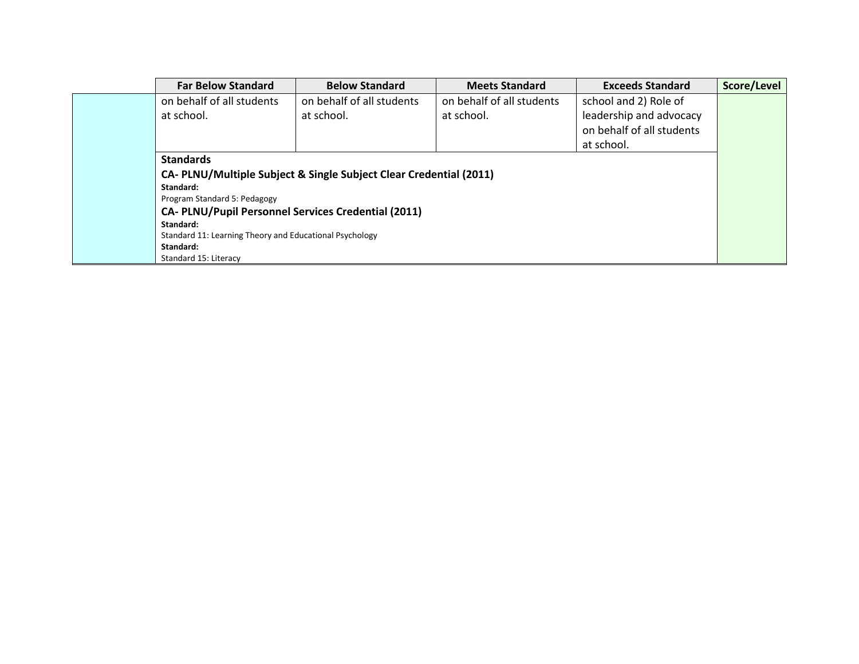| <b>Far Below Standard</b>                                  | <b>Below Standard</b>                                              | <b>Meets Standard</b>     | <b>Exceeds Standard</b>   | Score/Level |  |  |  |
|------------------------------------------------------------|--------------------------------------------------------------------|---------------------------|---------------------------|-------------|--|--|--|
| on behalf of all students                                  | on behalf of all students                                          | on behalf of all students | school and 2) Role of     |             |  |  |  |
| at school.                                                 | at school.                                                         | at school.                | leadership and advocacy   |             |  |  |  |
|                                                            |                                                                    |                           | on behalf of all students |             |  |  |  |
|                                                            |                                                                    |                           | at school.                |             |  |  |  |
| <b>Standards</b>                                           |                                                                    |                           |                           |             |  |  |  |
|                                                            | CA- PLNU/Multiple Subject & Single Subject Clear Credential (2011) |                           |                           |             |  |  |  |
| Standard:                                                  |                                                                    |                           |                           |             |  |  |  |
| Program Standard 5: Pedagogy                               |                                                                    |                           |                           |             |  |  |  |
| <b>CA- PLNU/Pupil Personnel Services Credential (2011)</b> |                                                                    |                           |                           |             |  |  |  |
| Standard:                                                  |                                                                    |                           |                           |             |  |  |  |
| Standard 11: Learning Theory and Educational Psychology    |                                                                    |                           |                           |             |  |  |  |
| Standard:                                                  |                                                                    |                           |                           |             |  |  |  |
| Standard 15: Literacy                                      |                                                                    |                           |                           |             |  |  |  |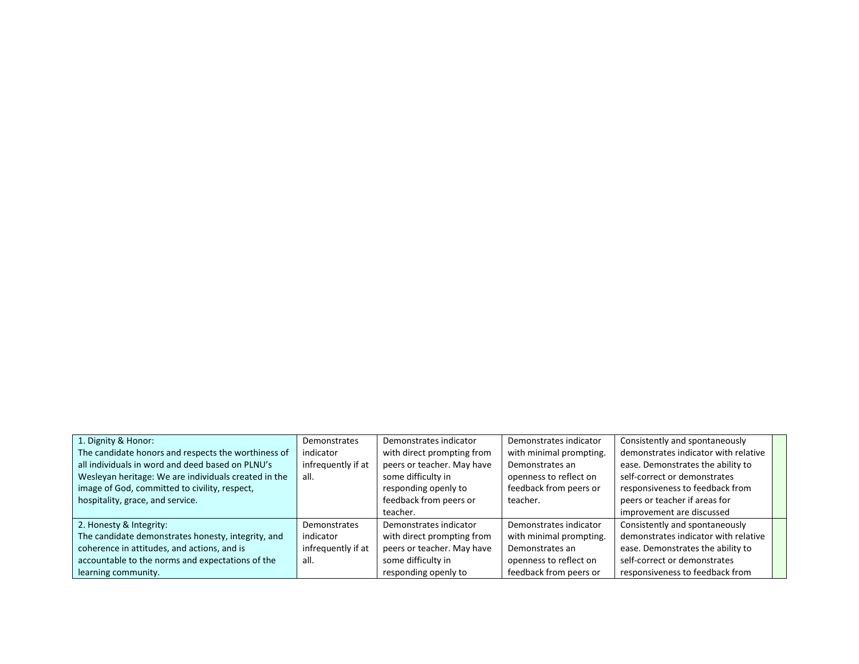| 1. Dignity & Honor:                                  | <b>Demonstrates</b> | Demonstrates indicator     | Demonstrates indicator  | Consistently and spontaneously       |  |
|------------------------------------------------------|---------------------|----------------------------|-------------------------|--------------------------------------|--|
| The candidate honors and respects the worthiness of  | indicator           | with direct prompting from | with minimal prompting. | demonstrates indicator with relative |  |
| all individuals in word and deed based on PLNU's     | infrequently if at  | peers or teacher. May have | Demonstrates an         | ease. Demonstrates the ability to    |  |
| Wesleyan heritage: We are individuals created in the | all.                | some difficulty in         | openness to reflect on  | self-correct or demonstrates         |  |
| image of God, committed to civility, respect,        |                     | responding openly to       | feedback from peers or  | responsiveness to feedback from      |  |
| hospitality, grace, and service.                     |                     | feedback from peers or     | teacher.                | peers or teacher if areas for        |  |
|                                                      |                     | teacher.                   |                         | improvement are discussed            |  |
| 2. Honesty & Integrity:                              | <b>Demonstrates</b> | Demonstrates indicator     | Demonstrates indicator  | Consistently and spontaneously       |  |
| The candidate demonstrates honesty, integrity, and   | indicator           | with direct prompting from | with minimal prompting. | demonstrates indicator with relative |  |
| coherence in attitudes, and actions, and is          | infrequently if at  | peers or teacher. May have | Demonstrates an         | ease. Demonstrates the ability to    |  |
| accountable to the norms and expectations of the     | all.                | some difficulty in         | openness to reflect on  | self-correct or demonstrates         |  |
| learning community.                                  |                     | responding openly to       | feedback from peers or  | responsiveness to feedback from      |  |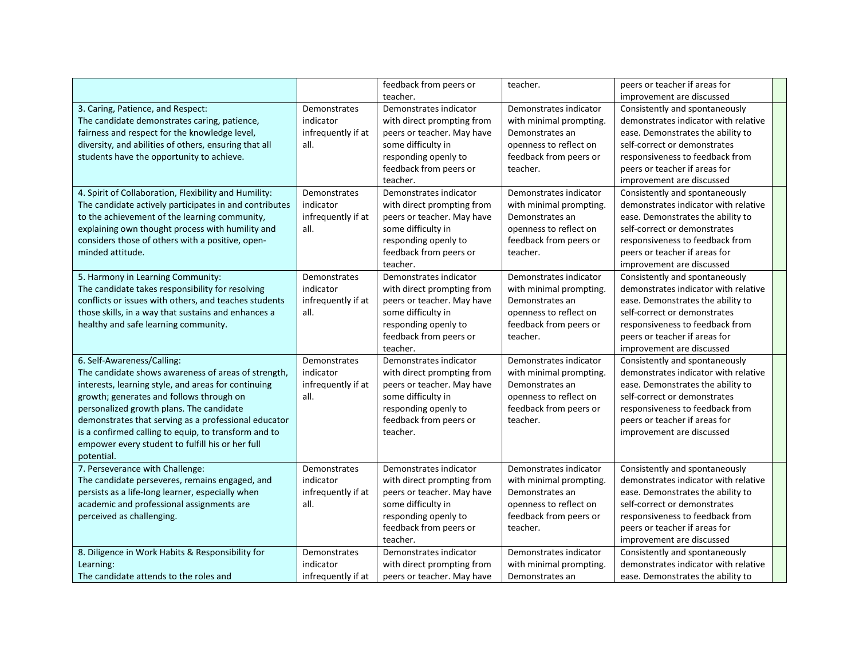|                                                                                                                                                                                                                                                                                                                                                                                                                    |                                                         | feedback from peers or<br>teacher.                                                                                                                                     | teacher.                                                                                                                             | peers or teacher if areas for<br>improvement are discussed                                                                                                                                                                                   |  |
|--------------------------------------------------------------------------------------------------------------------------------------------------------------------------------------------------------------------------------------------------------------------------------------------------------------------------------------------------------------------------------------------------------------------|---------------------------------------------------------|------------------------------------------------------------------------------------------------------------------------------------------------------------------------|--------------------------------------------------------------------------------------------------------------------------------------|----------------------------------------------------------------------------------------------------------------------------------------------------------------------------------------------------------------------------------------------|--|
| 3. Caring, Patience, and Respect:<br>The candidate demonstrates caring, patience,<br>fairness and respect for the knowledge level,<br>diversity, and abilities of others, ensuring that all<br>students have the opportunity to achieve.                                                                                                                                                                           | Demonstrates<br>indicator<br>infrequently if at<br>all. | Demonstrates indicator<br>with direct prompting from<br>peers or teacher. May have<br>some difficulty in<br>responding openly to<br>feedback from peers or<br>teacher. | Demonstrates indicator<br>with minimal prompting.<br>Demonstrates an<br>openness to reflect on<br>feedback from peers or<br>teacher. | Consistently and spontaneously<br>demonstrates indicator with relative<br>ease. Demonstrates the ability to<br>self-correct or demonstrates<br>responsiveness to feedback from<br>peers or teacher if areas for<br>improvement are discussed |  |
| 4. Spirit of Collaboration, Flexibility and Humility:<br>The candidate actively participates in and contributes<br>to the achievement of the learning community,<br>explaining own thought process with humility and<br>considers those of others with a positive, open-<br>minded attitude.                                                                                                                       | Demonstrates<br>indicator<br>infrequently if at<br>all. | Demonstrates indicator<br>with direct prompting from<br>peers or teacher. May have<br>some difficulty in<br>responding openly to<br>feedback from peers or<br>teacher. | Demonstrates indicator<br>with minimal prompting.<br>Demonstrates an<br>openness to reflect on<br>feedback from peers or<br>teacher. | Consistently and spontaneously<br>demonstrates indicator with relative<br>ease. Demonstrates the ability to<br>self-correct or demonstrates<br>responsiveness to feedback from<br>peers or teacher if areas for<br>improvement are discussed |  |
| 5. Harmony in Learning Community:<br>The candidate takes responsibility for resolving<br>conflicts or issues with others, and teaches students<br>those skills, in a way that sustains and enhances a<br>healthy and safe learning community.                                                                                                                                                                      | Demonstrates<br>indicator<br>infrequently if at<br>all. | Demonstrates indicator<br>with direct prompting from<br>peers or teacher. May have<br>some difficulty in<br>responding openly to<br>feedback from peers or<br>teacher. | Demonstrates indicator<br>with minimal prompting.<br>Demonstrates an<br>openness to reflect on<br>feedback from peers or<br>teacher. | Consistently and spontaneously<br>demonstrates indicator with relative<br>ease. Demonstrates the ability to<br>self-correct or demonstrates<br>responsiveness to feedback from<br>peers or teacher if areas for<br>improvement are discussed |  |
| 6. Self-Awareness/Calling:<br>The candidate shows awareness of areas of strength,<br>interests, learning style, and areas for continuing<br>growth; generates and follows through on<br>personalized growth plans. The candidate<br>demonstrates that serving as a professional educator<br>is a confirmed calling to equip, to transform and to<br>empower every student to fulfill his or her full<br>potential. | Demonstrates<br>indicator<br>infrequently if at<br>all. | Demonstrates indicator<br>with direct prompting from<br>peers or teacher. May have<br>some difficulty in<br>responding openly to<br>feedback from peers or<br>teacher. | Demonstrates indicator<br>with minimal prompting.<br>Demonstrates an<br>openness to reflect on<br>feedback from peers or<br>teacher. | Consistently and spontaneously<br>demonstrates indicator with relative<br>ease. Demonstrates the ability to<br>self-correct or demonstrates<br>responsiveness to feedback from<br>peers or teacher if areas for<br>improvement are discussed |  |
| 7. Perseverance with Challenge:<br>The candidate perseveres, remains engaged, and<br>persists as a life-long learner, especially when<br>academic and professional assignments are<br>perceived as challenging.                                                                                                                                                                                                    | Demonstrates<br>indicator<br>infrequently if at<br>all. | Demonstrates indicator<br>with direct prompting from<br>peers or teacher. May have<br>some difficulty in<br>responding openly to<br>feedback from peers or<br>teacher. | Demonstrates indicator<br>with minimal prompting.<br>Demonstrates an<br>openness to reflect on<br>feedback from peers or<br>teacher. | Consistently and spontaneously<br>demonstrates indicator with relative<br>ease. Demonstrates the ability to<br>self-correct or demonstrates<br>responsiveness to feedback from<br>peers or teacher if areas for<br>improvement are discussed |  |
| 8. Diligence in Work Habits & Responsibility for<br>Learning:<br>The candidate attends to the roles and                                                                                                                                                                                                                                                                                                            | Demonstrates<br>indicator<br>infrequently if at         | Demonstrates indicator<br>with direct prompting from<br>peers or teacher. May have                                                                                     | Demonstrates indicator<br>with minimal prompting.<br>Demonstrates an                                                                 | Consistently and spontaneously<br>demonstrates indicator with relative<br>ease. Demonstrates the ability to                                                                                                                                  |  |